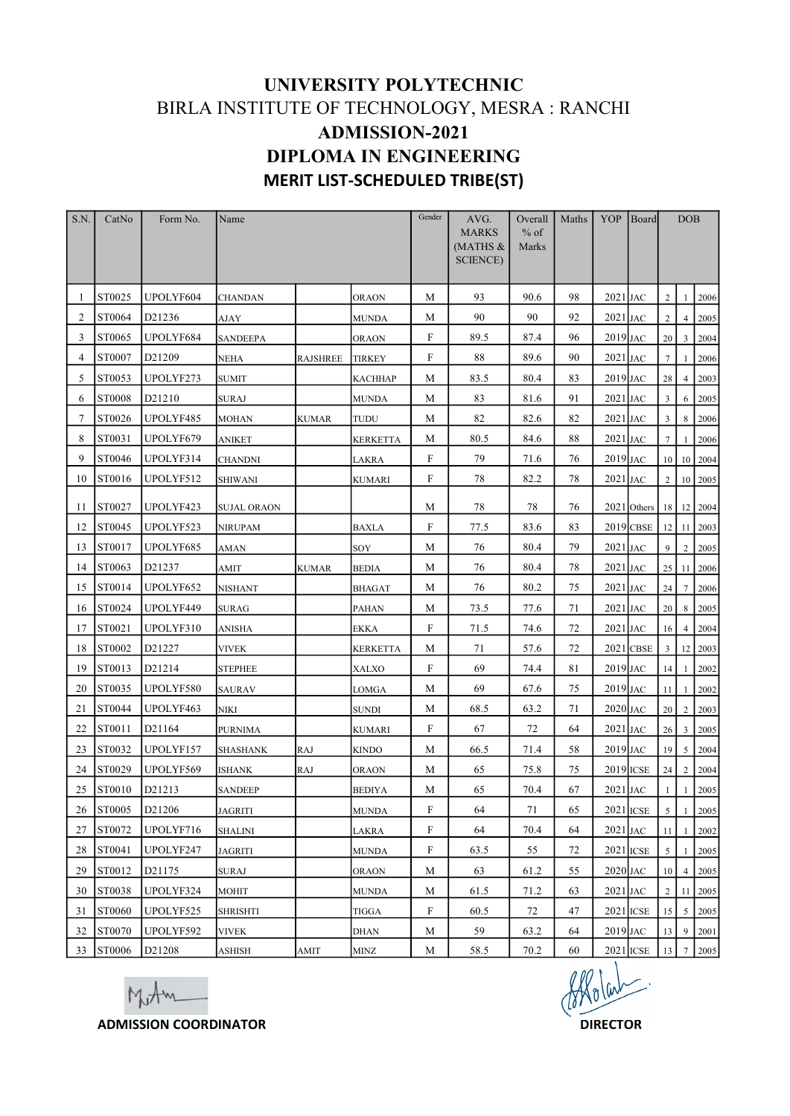## UNIVERSITY POLYTECHNIC BIRLA INSTITUTE OF TECHNOLOGY, MESRA : RANCHI ADMISSION-2021 DIPLOMA IN ENGINEERING MERIT LIST-SCHEDULED TRIBE(ST)

|                 |                   |                                               | BIRLA INSTITUTE OF TECHNOLOGY, MESRA : RANCHI |              |                       |              | UNIVERSITY POLYTECHNIC                                                 |                            |       |                                  |                        |                         |                |                       |
|-----------------|-------------------|-----------------------------------------------|-----------------------------------------------|--------------|-----------------------|--------------|------------------------------------------------------------------------|----------------------------|-------|----------------------------------|------------------------|-------------------------|----------------|-----------------------|
|                 |                   |                                               |                                               |              | <b>ADMISSION-2021</b> |              | <b>DIPLOMA IN ENGINEERING</b><br><b>MERIT LIST-SCHEDULED TRIBE(ST)</b> |                            |       |                                  |                        |                         |                |                       |
| S.N.            | Form No.<br>CatNo |                                               | Name                                          |              |                       | Gender       | AVG.<br><b>MARKS</b><br>(MATHS $&$<br>SCIENCE)                         | Overall<br>$%$ of<br>Marks | Maths | YOP Board                        |                        |                         | <b>DOB</b>     |                       |
|                 | ST0025            | UPOLYF604                                     | <b>CHANDAN</b>                                |              | <b>ORAON</b>          | M            | 93                                                                     | 90.6                       | 98    | $2021$ JAC                       |                        | 2                       | $\mathbf{1}$   | 2006                  |
| 2               | <b>ST0064</b>     | D21236                                        | AJAY                                          |              | MUNDA                 | M            | 90                                                                     | 90                         | 92    | $2021$ JAC                       |                        | 2                       | $\overline{4}$ | 2005                  |
| 3               | ST0065            | UPOLYF684                                     | <b>SANDEEPA</b>                               |              | ORAON                 | F            | 89.5                                                                   | 87.4                       | 96    | $2019$ JAC                       |                        | 20 <sup>2</sup>         | $\overline{3}$ | 2004                  |
| 4               | <b>ST0007</b>     | D21209                                        | <b>NEHA</b>                                   |              |                       | $\mathbf{F}$ | 88                                                                     | 89.6                       | 90    | $2021$ JAC                       |                        | $7\phantom{.0}$         |                |                       |
| 5               | <b>ST0053</b>     | UPOLYF273                                     |                                               | RAJSHREE     | <b>TIRKEY</b>         | M            | 83.5                                                                   | 80.4                       | 83    | $2019$ JAC                       |                        |                         |                | 2006                  |
|                 |                   |                                               | <b>SUMIT</b>                                  |              | <b>KACHHAP</b>        |              |                                                                        |                            |       |                                  |                        | 28                      |                | 4 2003                |
| 6               | <b>ST0008</b>     | D21210                                        | <b>SURAJ</b>                                  |              | <b>MUNDA</b>          | M            | 83                                                                     | 81.6                       | 91    | $2021$ JAC                       |                        | $\overline{3}$          | 6              | 2005                  |
| $7\phantom{.0}$ | ST0026            | UPOLYF485                                     | <b>MOHAN</b>                                  | <b>KUMAR</b> | TUDU                  | M            | 82                                                                     | 82.6                       | 82    | $2021$ JAC                       |                        | $\overline{\mathbf{3}}$ | 8              | 2006                  |
| 8               | <b>ST0031</b>     | UPOLYF679                                     | <b>ANIKET</b>                                 |              | KERKETTA              | M            | 80.5                                                                   | 84.6                       | 88    | $2021$ JAC                       |                        | $7\phantom{.0}$         | $\frac{1}{2}$  | 2006                  |
| 9               | <b>ST0046</b>     | UPOLYF314                                     | <b>CHANDNI</b>                                |              | LAKRA                 | $_{\rm F}$   | 79                                                                     | 71.6                       | 76    | $2019$ JAC                       |                        |                         |                | 10 10 2004            |
|                 | 10 ST0016         | UPOLYF512                                     | <b>SHIWANI</b>                                |              | <b>KUMARI</b>         | F            | 78                                                                     | 82.2                       | 78    | $2021$ JAC                       |                        |                         |                | $2 \t10 \t2005$       |
|                 | 11 ST0027         | UPOLYF423                                     | <b>SUJAL ORAON</b>                            |              |                       | M            | 78                                                                     | 78                         | 76    |                                  | 2021 Others 18 12 2004 |                         |                |                       |
|                 | 12 ST0045         | UPOLYF523                                     | <b>NIRUPAM</b>                                |              | <b>BAXLA</b>          | F            | 77.5                                                                   | 83.6                       | 83    |                                  | 2019 CBSE 12 11 2003   |                         |                |                       |
|                 | 13 ST0017         | UPOLYF685                                     | <b>AMAN</b>                                   |              | SOY                   | M            | 76                                                                     | 80.4                       | 79    | $2021$ JAC                       |                        |                         |                | $9 \mid 2 \mid 2005$  |
|                 | 14 ST0063         | D21237                                        | AMIT                                          | <b>KUMAR</b> | BEDIA                 | M            | 76                                                                     | 80.4                       | 78    | $2021$ JAC                       |                        |                         |                | 25 11 2006            |
|                 | 15 ST0014         | UPOLYF652                                     | <b>NISHANT</b>                                |              | <b>BHAGAT</b>         | M            | 76                                                                     | 80.2                       | 75    | $2021$ JAC                       |                        |                         |                | 24 7 2006             |
|                 | 16 ST0024         | UPOLYF449                                     | SURAG                                         |              | PAHAN                 | M            | 73.5                                                                   | 77.6                       | 71    | $2021$ JAC                       |                        |                         |                | 20 8 2005             |
|                 | 17 ST0021         | UPOLYF310                                     | ANISHA                                        |              | EKKA                  | F            | 71.5                                                                   | 74.6                       | 72    | $2021$ JAC                       |                        |                         |                | 16 4 2004             |
|                 | 18 ST0002         | D21227                                        | <b>VIVEK</b>                                  |              | <b>KERKETTA</b>       | M            | 71                                                                     | 57.6                       | 72    |                                  | 2021 CBSE              |                         |                | $3 \mid 12 \mid 2003$ |
|                 | 19 ST0013         | D21214                                        | <b>STEPHEE</b>                                |              | XALXO                 | F            | 69                                                                     | 74.4                       | -81   |                                  | $2019$ JAC             |                         |                | 14 1 2002             |
|                 | 20 ST0035         | UPOLYF580                                     | <b>SAURAV</b>                                 |              |                       | M            | 69                                                                     | 67.6                       | 75    | 2019 JAC                         |                        | $11\,$                  |                | 1 2002                |
|                 |                   |                                               |                                               |              | LOMGA                 |              |                                                                        |                            |       |                                  |                        |                         |                |                       |
|                 | 21 ST0044         | UPOLYF463                                     | <b>NIKI</b>                                   |              | SUNDI                 | M            | 68.5                                                                   | 63.2                       | 71    | $2020$ JAC                       |                        |                         |                | 20 2 2003             |
|                 | 22 ST0011         | D21164                                        | <b>PURNIMA</b>                                |              | <b>KUMARI</b>         | F            | 67                                                                     | 72                         | 64    | $2021$ JAC                       |                        |                         |                | 26 3 2005             |
|                 | 23 ST0032         | UPOLYF157                                     | <b>SHASHANK</b>                               | RAJ          | KINDO                 | M            | 66.5                                                                   | 71.4                       | 58    | $2019$ JAC                       |                        |                         |                | 19 5 2004             |
|                 | 24 ST0029         | UPOLYF569                                     | <b>ISHANK</b>                                 | <b>RAJ</b>   | <b>ORAON</b>          | M            | 65                                                                     | 75.8                       | 75    |                                  | 2019 ICSE 24 2 2004    |                         |                |                       |
|                 | 25 ST0010         | D21213                                        | <b>SANDEEP</b>                                |              | <b>BEDIYA</b>         | M            | 65                                                                     | 70.4                       | 67    | $2021$ JAC                       |                        | $\mathbf{1}$            |                | 1 2005                |
|                 | 26 ST0005         | D21206                                        | <b>JAGRITI</b>                                |              | <b>MUNDA</b>          | F            | 64                                                                     | 71                         | 65    |                                  | $2021$ ICSE            | 5 <sup>1</sup>          |                | $1 \mid 2005$         |
|                 | 27 ST0072         | UPOLYF716                                     | <b>SHALINI</b>                                |              | LAKRA                 | $\mathbf{F}$ | 64                                                                     | 70.4                       | 64    | $2021$ JAC                       |                        | 11                      |                | 1 2002                |
|                 | 28 ST0041         | UPOLYF247                                     | <b>JAGRITI</b>                                |              | <b>MUNDA</b>          | F            | 63.5                                                                   | 55                         | 72    |                                  | $2021$ ICSE            | 5 <sup>1</sup>          |                | $1 \mid 2005$         |
|                 | 29 ST0012         | D21175                                        | <b>SURAJ</b>                                  |              | ORAON                 | M            | 63                                                                     | 61.2                       | 55    | $2020$ JAC                       |                        |                         |                | $10 \mid 4 \mid 2005$ |
|                 | 30 ST0038         | UPOLYF324                                     | <b>MOHIT</b>                                  |              | <b>MUNDA</b>          | M            | 61.5                                                                   | 71.2                       | 63    | $2021$ JAC                       |                        |                         |                | $2 \mid 11 \mid 2005$ |
|                 | 31 ST0060         | UPOLYF525                                     | <b>SHRISHTI</b>                               |              | TIGGA                 | F            | 60.5                                                                   | 72                         | 47    |                                  | $2021$ ICSE            |                         |                | 15 5 2005             |
|                 | 32 ST0070         | UPOLYF592                                     | <b>VIVEK</b>                                  |              | DHAN                  | M            | 59                                                                     | 63.2                       | 64    | $2019$ JAC                       |                        |                         |                | 13 9 2001             |
|                 | 33 ST0006         | D21208<br>MAM<br><b>ADMISSION COORDINATOR</b> | <b>ASHISH</b>                                 | AMIT         | MINZ                  | M            | 58.5                                                                   | 70.2                       | 60    | $\chi_0$ (mb)<br><b>DIRECTOR</b> | 2021 ICSE              |                         |                | 13 7 2005             |